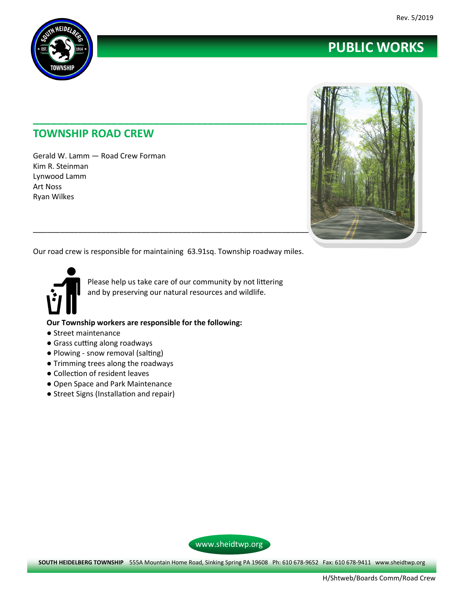

## **TOWNSHIP ROAD CREW**

Gerald W. Lamm — Road Crew Forman Kim R. Steinman Lynwood Lamm Art Noss Ryan Wilkes



**PUBLIC WORKS**

Our road crew is responsible for maintaining 63.91sq. Township roadway miles.



Please help us take care of our community by not littering and by preserving our natural resources and wildlife.

**Our Township workers are responsible for the following:**

- Street maintenance
- Grass cutting along roadways
- Plowing snow removal (salting)
- Trimming trees along the roadways
- Collection of resident leaves
- Open Space and Park Maintenance
- Street Signs (Installation and repair)



**SOUTH HEIDELBERG TOWNSHIP** 555A Mountain Home Road, Sinking Spring PA 19608 Ph: 610 678-9652 Fax: 610 678-9411 www.sheidtwp.org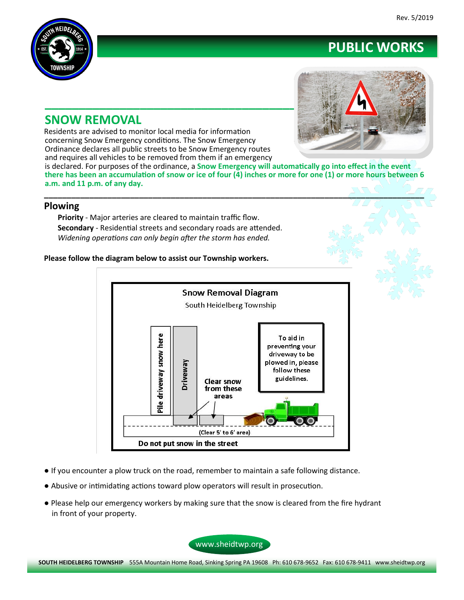

## **SNOW REMOVAL**

Residents are advised to monitor local media for information concerning Snow Emergency conditions. The Snow Emergency Ordinance declares all public streets to be Snow Emergency routes and requires all vehicles to be removed from them if an emergency



**PUBLIC WORKS**

is declared. For purposes of the ordinance, a **Snow Emergency will automatically go into effect in the event there has been an accumulation of snow or ice of four (4) inches or more for one (1) or more hours between 6 a.m. and 11 p.m. of any day.**

**\_\_\_\_\_\_\_\_\_\_\_\_\_\_\_\_\_\_\_\_\_\_\_\_\_\_\_\_\_\_\_\_\_\_\_\_\_\_\_\_\_\_\_\_\_\_\_\_\_\_\_\_\_\_\_\_\_\_\_\_\_\_\_\_\_\_\_\_\_\_\_\_\_\_\_\_\_\_\_\_\_\_\_\_**

### **Plowing**

**Priority** - Major arteries are cleared to maintain traffic flow. **Secondary** - Residential streets and secondary roads are attended. *Widening operations can only begin after the storm has ended.*

**Please follow the diagram below to assist our Township workers.**



- If you encounter a plow truck on the road, remember to maintain a safe following distance.
- Abusive or intimidating actions toward plow operators will result in prosecution.
- Please help our emergency workers by making sure that the snow is cleared from the fire hydrant in front of your property.

www.sheidtwp.org

**SOUTH HEIDELBERG TOWNSHIP** 555A Mountain Home Road, Sinking Spring PA 19608 Ph: 610 678-9652 Fax: 610 678-9411 www.sheidtwp.org